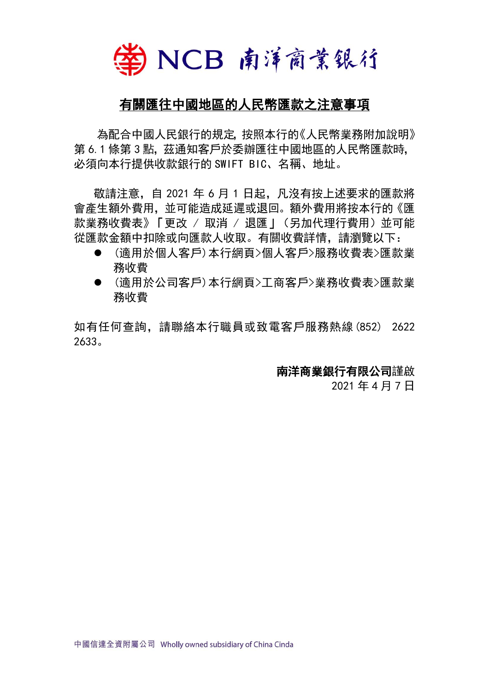

## 有關匯往中國地區的人民幣匯款之注意事項

 為配合中國人民銀行的規定,按照本行的《人民幣業務附加說明》 第 6.1 條第 3 點, 茲通知客戶於委辦匯往中國地區的人民幣匯款時, 必須向本行提供收款銀行的 SWIFT BIC、名稱、地址。

敬請注意, 自 2021 年 6 月 1 日起, 凡沒有按上述要求的匯款將 會產生額外費用,並可能造成延遲或退回。額外費用將按本行的《匯 款業務收費表》「更改 / 取消 / 退匯 | (另加代理行費用) 並可能 從匯款金額中扣除或向匯款人收取。有關收費詳情,請瀏覽以下:

- ⚫ (適用於個人客戶)本行網頁>個人客戶>服務收費表>匯款業 務收費
- ⚫ (適用於公司客戶)本行網頁>工商客戶>業務收費表>匯款業 務收費

如有任何查詢,請聯絡本行職員或致電客戶服務熱線(852) 2622 2633。

## 南洋商業銀行有限公司謹啟

2021 年 4 月 7 日